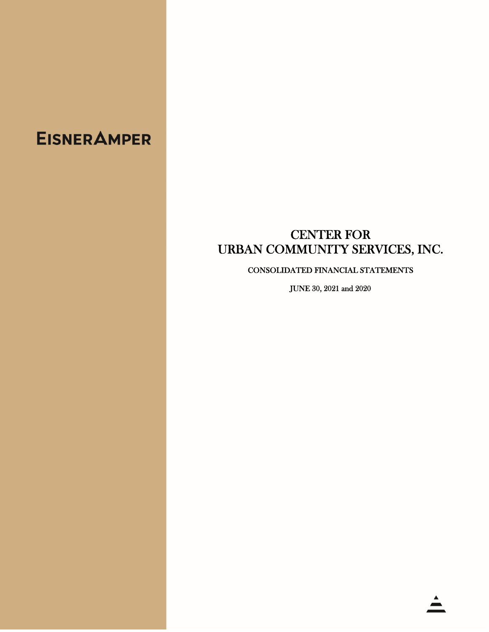## **EISNER AMPER**

## CENTER FOR URBAN COMMUNITY SERVICES, INC.

CONSOLIDATED FINANCIAL STATEMENTS

JUNE 30, 2021 and 2020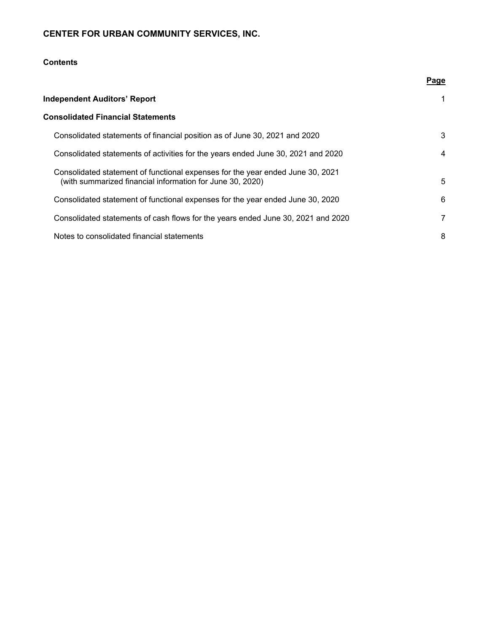## **Contents**

|                                                                                                                                             | Page |
|---------------------------------------------------------------------------------------------------------------------------------------------|------|
| <b>Independent Auditors' Report</b>                                                                                                         | 1.   |
| <b>Consolidated Financial Statements</b>                                                                                                    |      |
| Consolidated statements of financial position as of June 30, 2021 and 2020                                                                  | 3    |
| Consolidated statements of activities for the years ended June 30, 2021 and 2020                                                            | 4    |
| Consolidated statement of functional expenses for the year ended June 30, 2021<br>(with summarized financial information for June 30, 2020) | 5    |
| Consolidated statement of functional expenses for the year ended June 30, 2020                                                              | 6    |
| Consolidated statements of cash flows for the years ended June 30, 2021 and 2020                                                            | 7    |
| Notes to consolidated financial statements                                                                                                  | 8    |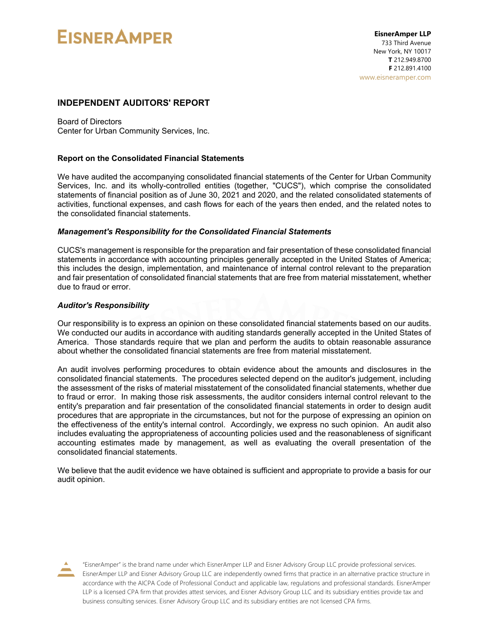# **EISNER AMPER**

## **INDEPENDENT AUDITORS' REPORT**

Board of Directors Center for Urban Community Services, Inc.

## **Report on the Consolidated Financial Statements**

We have audited the accompanying consolidated financial statements of the Center for Urban Community Services, Inc. and its wholly-controlled entities (together, "CUCS"), which comprise the consolidated statements of financial position as of June 30, 2021 and 2020, and the related consolidated statements of activities, functional expenses, and cash flows for each of the years then ended, and the related notes to the consolidated financial statements.

#### *Management's Responsibility for the Consolidated Financial Statements*

CUCS's management is responsible for the preparation and fair presentation of these consolidated financial statements in accordance with accounting principles generally accepted in the United States of America; this includes the design, implementation, and maintenance of internal control relevant to the preparation and fair presentation of consolidated financial statements that are free from material misstatement, whether due to fraud or error.

## *Auditor's Responsibility*

Our responsibility is to express an opinion on these consolidated financial statements based on our audits. We conducted our audits in accordance with auditing standards generally accepted in the United States of America. Those standards require that we plan and perform the audits to obtain reasonable assurance about whether the consolidated financial statements are free from material misstatement.

An audit involves performing procedures to obtain evidence about the amounts and disclosures in the consolidated financial statements. The procedures selected depend on the auditor's judgement, including the assessment of the risks of material misstatement of the consolidated financial statements, whether due to fraud or error. In making those risk assessments, the auditor considers internal control relevant to the entity's preparation and fair presentation of the consolidated financial statements in order to design audit procedures that are appropriate in the circumstances, but not for the purpose of expressing an opinion on the effectiveness of the entity's internal control. Accordingly, we express no such opinion. An audit also includes evaluating the appropriateness of accounting policies used and the reasonableness of significant accounting estimates made by management, as well as evaluating the overall presentation of the consolidated financial statements.

We believe that the audit evidence we have obtained is sufficient and appropriate to provide a basis for our audit opinion.



"EisnerAmper" is the brand name under which EisnerAmper LLP and Eisner Advisory Group LLC provide professional services. EisnerAmper LLP and Eisner Advisory Group LLC are independently owned firms that practice in an alternative practice structure in accordance with the AICPA Code of Professional Conduct and applicable law, regulations and professional standards. EisnerAmper LLP is a licensed CPA firm that provides attest services, and Eisner Advisory Group LLC and its subsidiary entities provide tax and business consulting services. Eisner Advisory Group LLC and its subsidiary entities are not licensed CPA firms.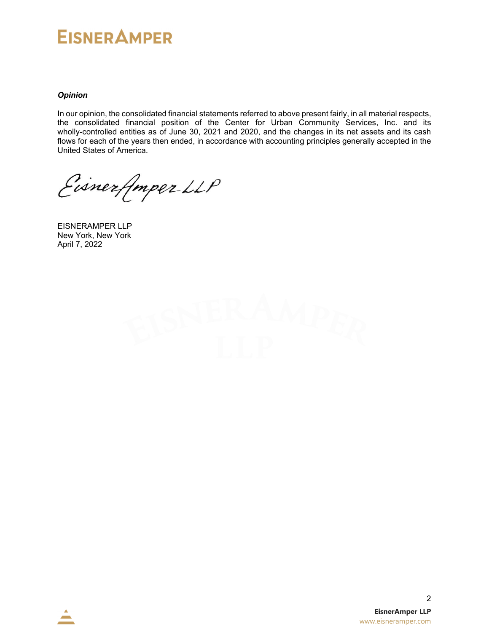## **EISNER AMPER**

## *Opinion*

In our opinion, the consolidated financial statements referred to above present fairly, in all material respects, the consolidated financial position of the Center for Urban Community Services, Inc. and its wholly-controlled entities as of June 30, 2021 and 2020, and the changes in its net assets and its cash flows for each of the years then ended, in accordance with accounting principles generally accepted in the United States of America.

Eisnerflmper LLP

EISNERAMPER LLP New York, New York April 7, 2022

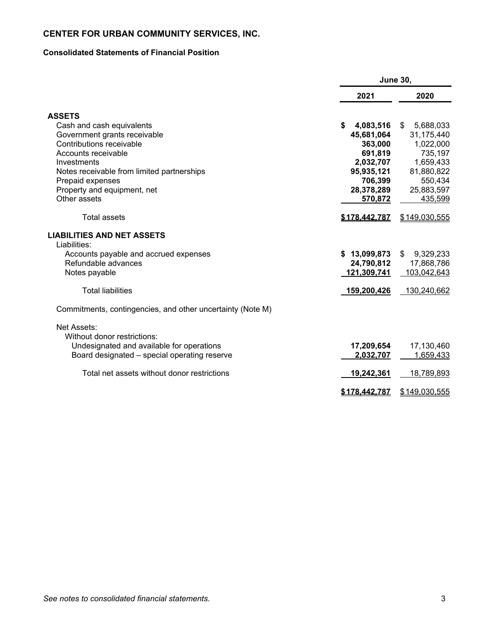## **Consolidated Statements of Financial Position**

|                                                            | <b>June 30,</b> |                 |  |
|------------------------------------------------------------|-----------------|-----------------|--|
|                                                            | 2021            | 2020            |  |
| <b>ASSETS</b>                                              |                 |                 |  |
| Cash and cash equivalents                                  | \$<br>4,083,516 | 5,688,033<br>\$ |  |
| Government grants receivable                               | 45,681,064      | 31,175,440      |  |
| Contributions receivable                                   | 363,000         | 1,022,000       |  |
| Accounts receivable                                        | 691,819         | 735,197         |  |
| Investments                                                | 2,032,707       | 1,659,433       |  |
| Notes receivable from limited partnerships                 | 95,935,121      | 81,880,822      |  |
| Prepaid expenses                                           | 706,399         | 550,434         |  |
| Property and equipment, net                                | 28,378,289      | 25,883,597      |  |
| Other assets                                               | 570,872         | 435,599         |  |
| <b>Total assets</b>                                        | \$178,442,787   | \$149,030,555   |  |
| <b>LIABILITIES AND NET ASSETS</b><br>Liabilities:          |                 |                 |  |
| Accounts payable and accrued expenses                      | \$13,099,873    | \$<br>9,329,233 |  |
| Refundable advances                                        | 24,790,812      | 17,868,786      |  |
| Notes payable                                              | 121,309,741     | 103,042,643     |  |
| <b>Total liabilities</b>                                   | 159,200,426     | 130,240,662     |  |
| Commitments, contingencies, and other uncertainty (Note M) |                 |                 |  |
| Net Assets:                                                |                 |                 |  |
| Without donor restrictions:                                |                 |                 |  |
| Undesignated and available for operations                  | 17,209,654      | 17,130,460      |  |
| Board designated - special operating reserve               | 2,032,707       | 1,659,433       |  |
| Total net assets without donor restrictions                | 19,242,361      | 18,789,893      |  |
|                                                            | \$178,442,787   | \$149,030,555   |  |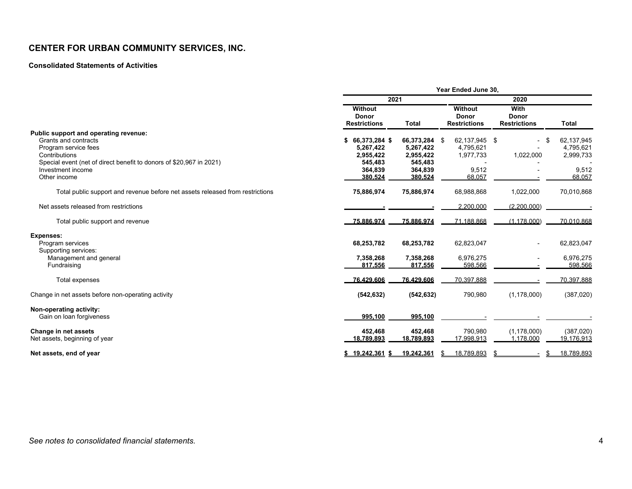#### **Consolidated Statements of Activities**

|                                                                                                                                                                                                                    | Year Ended June 30,                                                         |                                                                          |                                                            |                                                    |                                                               |
|--------------------------------------------------------------------------------------------------------------------------------------------------------------------------------------------------------------------|-----------------------------------------------------------------------------|--------------------------------------------------------------------------|------------------------------------------------------------|----------------------------------------------------|---------------------------------------------------------------|
|                                                                                                                                                                                                                    | 2021                                                                        | 2020                                                                     |                                                            |                                                    |                                                               |
|                                                                                                                                                                                                                    | Without<br>Donor<br><b>Restrictions</b>                                     | <b>Total</b>                                                             | Without<br><b>Donor</b><br><b>Restrictions</b>             | <b>With</b><br><b>Donor</b><br><b>Restrictions</b> | <b>Total</b>                                                  |
| Public support and operating revenue:<br>Grants and contracts<br>Program service fees<br>Contributions<br>Special event (net of direct benefit to donors of \$20,967 in 2021)<br>Investment income<br>Other income | $$66,373,284$ \$<br>5,267,422<br>2,955,422<br>545,483<br>364,839<br>380.524 | 66,373,284 \$<br>5,267,422<br>2,955,422<br>545,483<br>364,839<br>380.524 | 62,137,945 \$<br>4,795,621<br>1,977,733<br>9,512<br>68.057 | 1,022,000                                          | 62,137,945<br>\$<br>4,795,621<br>2,999,733<br>9,512<br>68.057 |
| Total public support and revenue before net assets released from restrictions                                                                                                                                      | 75,886,974                                                                  | 75,886,974                                                               | 68,988,868                                                 | 1,022,000                                          | 70,010,868                                                    |
| Net assets released from restrictions                                                                                                                                                                              |                                                                             |                                                                          | 2,200,000                                                  | (2,200,000)                                        |                                                               |
| Total public support and revenue                                                                                                                                                                                   | 75.886.974                                                                  | 75.886.974                                                               | 71,188,868                                                 | (1, 178, 000)                                      | 70,010,868                                                    |
| <b>Expenses:</b><br>Program services<br>Supporting services:                                                                                                                                                       | 68,253,782                                                                  | 68,253,782                                                               | 62,823,047                                                 |                                                    | 62,823,047                                                    |
| Management and general<br>Fundraising                                                                                                                                                                              | 7,358,268<br>817.556                                                        | 7,358,268<br>817.556                                                     | 6,976,275<br>598.566                                       |                                                    | 6.976.275<br>598.566                                          |
| Total expenses                                                                                                                                                                                                     | 76.429.606                                                                  | 76.429.606                                                               | 70.397.888                                                 |                                                    | 70.397.888                                                    |
| Change in net assets before non-operating activity                                                                                                                                                                 | (542, 632)                                                                  | (542, 632)                                                               | 790,980                                                    | (1, 178, 000)                                      | (387, 020)                                                    |
| Non-operating activity:<br>Gain on loan forgiveness                                                                                                                                                                | 995,100                                                                     | 995,100                                                                  |                                                            |                                                    |                                                               |
| Change in net assets<br>Net assets, beginning of year                                                                                                                                                              | 452,468<br>18.789.893                                                       | 452,468<br>18.789.893                                                    | 790,980<br>17.998.913                                      | (1, 178, 000)<br>1.178.000                         | (387, 020)<br>19.176.913                                      |
| Net assets, end of year                                                                                                                                                                                            | $$19,242,361$ \$                                                            | 19,242,361                                                               | 18.789.893<br>SS.                                          |                                                    | 18.789.893                                                    |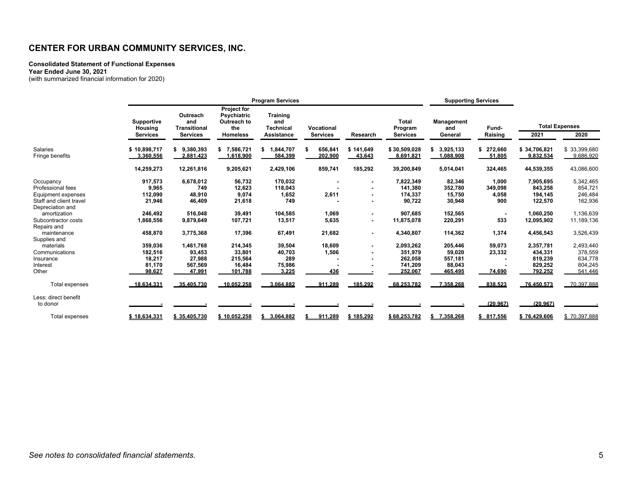#### **Consolidated Statement of Functional Expenses**

**Year Ended June 30, 2021** 

(with summarized financial information for 2020)

|                                                                                 |                                                  | <b>Program Services</b>                                   |                                                                                   |                                                                 |                               |                               |                                                       | <b>Supporting Services</b>                        |                                              |                                                       |                                                       |
|---------------------------------------------------------------------------------|--------------------------------------------------|-----------------------------------------------------------|-----------------------------------------------------------------------------------|-----------------------------------------------------------------|-------------------------------|-------------------------------|-------------------------------------------------------|---------------------------------------------------|----------------------------------------------|-------------------------------------------------------|-------------------------------------------------------|
|                                                                                 | <b>Supportive</b><br>Housing<br><b>Services</b>  | Outreach<br>and<br><b>Transitional</b><br><b>Services</b> | <b>Project for</b><br><b>Psychiatric</b><br>Outreach to<br>the<br><b>Homeless</b> | <b>Training</b><br>and<br><b>Technical</b><br><b>Assistance</b> | Vocational<br><b>Services</b> | Research                      | Total<br>Program<br><b>Services</b>                   | <b>Management</b><br>and<br>General               | Fund-<br>Raising                             | 2021                                                  | <b>Total Expenses</b><br>2020                         |
| Salaries<br>Fringe benefits                                                     | \$10.898.717<br>3.360.556                        | \$9.380.393<br>2.881.423                                  | \$7.586.721<br>1.618.900                                                          | \$1.844.707<br>584.399                                          | 656.841<br>202.900            | \$141.649<br>43.643           | \$30,509,028<br>8.691.821                             | \$3.925.133<br>1.088.908                          | \$272,660<br>51.805                          | \$34.706.821<br>9.832.534                             | \$33,399,680<br>9.686.920                             |
|                                                                                 | 14,259,273                                       | 12,261,816                                                | 9,205,621                                                                         | 2,429,106                                                       | 859,741                       | 185,292                       | 39,200,849                                            | 5,014,041                                         | 324,465                                      | 44,539,355                                            | 43,086,600                                            |
| Occupancy<br>Professional fees<br>Equipment expenses<br>Staff and client travel | 917,573<br>9,965<br>112,090<br>21,946            | 6,678,012<br>749<br>48,910<br>46.409                      | 56,732<br>12,623<br>9,074<br>21,618                                               | 170,032<br>118,043<br>1,652<br>749                              | 2,611                         | ۰                             | 7,822,349<br>141,380<br>174,337<br>90.722             | 82,346<br>352,780<br>15,750<br>30,948             | 1,000<br>349,098<br>4,058<br>900             | 7,905,695<br>843,258<br>194,145<br>122,570            | 5,342,465<br>854,721<br>246,484<br>162,936            |
| Depreciation and<br>amortization<br>Subcontractor costs<br>Repairs and          | 246.492<br>1,868,556                             | 516.048<br>9,879,649                                      | 39.491<br>107,721                                                                 | 104,585<br>13,517                                               | 1,069<br>5,635                | $\overline{\phantom{0}}$<br>۰ | 907,685<br>11,875,078                                 | 152,565<br>220,291                                | $\blacksquare$<br>533                        | 1,060,250<br>12,095,902                               | 1,136,639<br>11,189,136                               |
| maintenance<br>Supplies and                                                     | 458,870                                          | 3,775,368                                                 | 17,396                                                                            | 67,491                                                          | 21,682                        | ۰.                            | 4,340,807                                             | 114,362                                           | 1,374                                        | 4,456,543                                             | 3,526,439                                             |
| materials<br>Communications<br>Insurance<br>Interest<br>Other                   | 359,036<br>182,516<br>18,217<br>81,170<br>98.627 | 1.461.768<br>93,453<br>27.988<br>567,569<br>47.991        | 214.345<br>33,801<br>215,564<br>16,484<br>101.788                                 | 39,504<br>40,703<br>289<br>75,986<br>3.225                      | 18,609<br>1,506<br>436        | $\overline{\phantom{0}}$      | 2.093.262<br>351,979<br>262.058<br>741,209<br>252.067 | 205,446<br>59,020<br>557,181<br>88,043<br>465.495 | 59,073<br>23,332<br>$\blacksquare$<br>74.690 | 2,357,781<br>434,331<br>819,239<br>829,252<br>792.252 | 2,493,440<br>378,559<br>634,778<br>804,245<br>541.446 |
| Total expenses                                                                  | 18.634.331                                       | 35.405.730                                                | 10.052.258                                                                        | 3.064.882                                                       | 911.289                       | 185.292                       | 68.253.782                                            | 7.358.268                                         | 838.523                                      | 76.450.573                                            | 70.397.888                                            |
| Less: direct benefit<br>to donor                                                |                                                  |                                                           |                                                                                   |                                                                 |                               |                               |                                                       |                                                   | (20.967)                                     | (20.967)                                              |                                                       |
| Total expenses                                                                  | \$18,634,331                                     | \$35,405,730                                              | \$10,052,258                                                                      | 3,064,882<br>\$                                                 | 911.289                       | \$185,292                     | \$68,253,782                                          | \$7,358,268                                       | \$817,556                                    | \$76,429,606                                          | \$70,397,888                                          |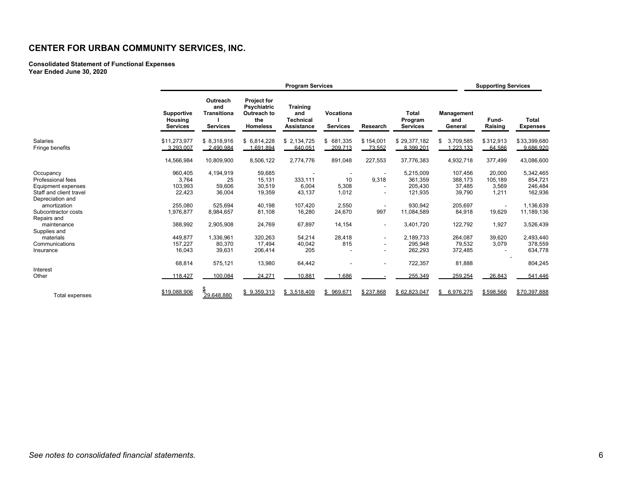#### **Consolidated Statement of Functional Expenses Year Ended June 30, 2020**

|                                                                                 |                                                 | <b>Program Services</b>                                  |                                                                                   |                                                          |                              |                                                      |                                              | <b>Supporting Services</b>              |                                     |                                              |
|---------------------------------------------------------------------------------|-------------------------------------------------|----------------------------------------------------------|-----------------------------------------------------------------------------------|----------------------------------------------------------|------------------------------|------------------------------------------------------|----------------------------------------------|-----------------------------------------|-------------------------------------|----------------------------------------------|
|                                                                                 | <b>Supportive</b><br>Housing<br><b>Services</b> | Outreach<br>and<br><b>Transitiona</b><br><b>Services</b> | <b>Project for</b><br><b>Psychiatric</b><br>Outreach to<br>the<br><b>Homeless</b> | <b>Training</b><br>and<br><b>Technical</b><br>Assistance | Vocationa<br><b>Services</b> | Research                                             | <b>Total</b><br>Program<br><b>Services</b>   | Management<br>and<br>General            | Fund-<br>Raising                    | <b>Total</b><br><b>Expenses</b>              |
| Salaries<br>Fringe benefits                                                     | \$11.273.977<br>3.293.007                       | \$8,318,916<br>2,490.984                                 | \$6,814,228<br>1.691.894                                                          | \$2,134,725<br>640.051                                   | \$681,335<br>209.713         | \$154,001<br>73.552                                  | \$29.377.182<br>8.399.201                    | 3,709,585<br>\$<br>1.223.133            | \$312,913<br>64.586                 | \$33,399,680<br>9.686.920                    |
|                                                                                 | 14,566,984                                      | 10,809,900                                               | 8,506,122                                                                         | 2,774,776                                                | 891,048                      | 227,553                                              | 37,776,383                                   | 4,932,718                               | 377,499                             | 43,086,600                                   |
| Occupancy<br>Professional fees<br>Equipment expenses<br>Staff and client travel | 960,405<br>3.764<br>103.993<br>22,423           | 4,194,919<br>25<br>59,606<br>36,004                      | 59,685<br>15,131<br>30.519<br>19,359                                              | 333,111<br>6.004<br>43,137                               | 10<br>5,308<br>1,012         | 9,318<br>$\blacksquare$                              | 5,215,009<br>361,359<br>205.430<br>121,935   | 107.456<br>388,173<br>37.485<br>39,790  | 20,000<br>105,189<br>3,569<br>1,211 | 5,342,465<br>854,721<br>246,484<br>162,936   |
| Depreciation and<br>amortization<br>Subcontractor costs<br>Repairs and          | 255.080<br>1,976,877                            | 525.694<br>8,984,657                                     | 40.198<br>81,108                                                                  | 107,420<br>16,280                                        | 2,550<br>24,670              | 997                                                  | 930.942<br>11,084,589                        | 205,697<br>84,918                       | $\overline{\phantom{a}}$<br>19,629  | 1,136,639<br>11,189,136                      |
| maintenance<br>Supplies and<br>materials<br>Communications<br>Insurance         | 388,992<br>449.877<br>157,227<br>16,043         | 2,905,908<br>1,336,961<br>80,370<br>39,631               | 24,769<br>320.263<br>17,494<br>206,414                                            | 67,897<br>54,214<br>40,042<br>205                        | 14,154<br>28,418<br>815      | $\overline{\phantom{a}}$<br>$\overline{\phantom{a}}$ | 3,401,720<br>2,189,733<br>295,948<br>262,293 | 122,792<br>264,087<br>79,532<br>372,485 | 1,927<br>39,620<br>3,079<br>$\sim$  | 3,526,439<br>2,493,440<br>378,559<br>634,778 |
| Interest                                                                        | 68,814                                          | 575,121                                                  | 13,980                                                                            | 64,442                                                   |                              | $\overline{\phantom{a}}$                             | 722,357                                      | 81,888                                  |                                     | 804,245                                      |
| Other                                                                           | 118.427                                         | 100.084                                                  | 24.271                                                                            | 10.881                                                   | 1.686                        |                                                      | 255.349                                      | 259.254                                 | 26.843                              | 541.446                                      |
| Total expenses                                                                  | \$19,088,906                                    | \$<br>29.648.880                                         | \$9,359,313                                                                       | \$3.518.409                                              | \$969,671                    | \$237,868                                            | \$62,823,047                                 | 6,976,275<br>\$                         | \$598.566                           | \$70,397,888                                 |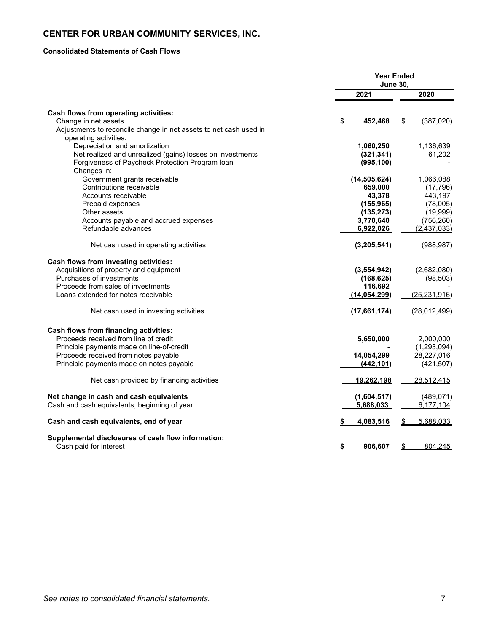## **Consolidated Statements of Cash Flows**

|                                                                   | <b>Year Ended</b><br><b>June 30,</b> |                   |    |                |
|-------------------------------------------------------------------|--------------------------------------|-------------------|----|----------------|
|                                                                   |                                      | 2021              |    | 2020           |
| Cash flows from operating activities:                             |                                      |                   |    |                |
| Change in net assets                                              | \$                                   | 452,468           | \$ | (387, 020)     |
| Adjustments to reconcile change in net assets to net cash used in |                                      |                   |    |                |
| operating activities:                                             |                                      |                   |    |                |
| Depreciation and amortization                                     |                                      | 1,060,250         |    | 1,136,639      |
| Net realized and unrealized (gains) losses on investments         |                                      | (321, 341)        |    | 61,202         |
| Forgiveness of Paycheck Protection Program Ioan                   |                                      | (995, 100)        |    |                |
| Changes in:                                                       |                                      |                   |    |                |
| Government grants receivable                                      |                                      | (14, 505, 624)    |    | 1,066,088      |
| Contributions receivable                                          |                                      | 659,000           |    | (17,796)       |
| Accounts receivable                                               |                                      | 43,378            |    | 443,197        |
| Prepaid expenses                                                  |                                      | (155, 965)        |    | (78,005)       |
| Other assets                                                      |                                      | (135, 273)        |    | (19,999)       |
| Accounts payable and accrued expenses                             |                                      | 3,770,640         |    | (756, 260)     |
| Refundable advances                                               |                                      | 6,922,026         |    | (2,437,033)    |
|                                                                   |                                      |                   |    |                |
| Net cash used in operating activities                             |                                      | (3,205,541)       |    | (988, 987)     |
| Cash flows from investing activities:                             |                                      |                   |    |                |
| Acquisitions of property and equipment                            |                                      | (3, 554, 942)     |    | (2,682,080)    |
| Purchases of investments                                          |                                      | (168, 625)        |    | (98, 503)      |
| Proceeds from sales of investments                                |                                      | 116,692           |    |                |
| Loans extended for notes receivable                               |                                      | (14, 054, 299)    |    | (25, 231, 916) |
| Net cash used in investing activities                             |                                      | (17,661,174)      |    | (28,012,499)   |
| Cash flows from financing activities:                             |                                      |                   |    |                |
| Proceeds received from line of credit                             |                                      | 5,650,000         |    | 2,000,000      |
| Principle payments made on line-of-credit                         |                                      |                   |    | (1,293,094)    |
| Proceeds received from notes payable                              |                                      | 14,054,299        |    | 28,227,016     |
| Principle payments made on notes payable                          |                                      | (442, 101)        |    | (421, 507)     |
| Net cash provided by financing activities                         |                                      | <u>19,262,198</u> |    | 28,512,415     |
| Net change in cash and cash equivalents                           |                                      | (1,604,517)       |    | (489, 071)     |
| Cash and cash equivalents, beginning of year                      |                                      | 5,688,033         |    | 6,177,104      |
| Cash and cash equivalents, end of year                            |                                      | 4,083,516         | \$ | 5,688,033      |
| Supplemental disclosures of cash flow information:                |                                      |                   |    |                |
| Cash paid for interest                                            |                                      | 906,607           | \$ | 804,245        |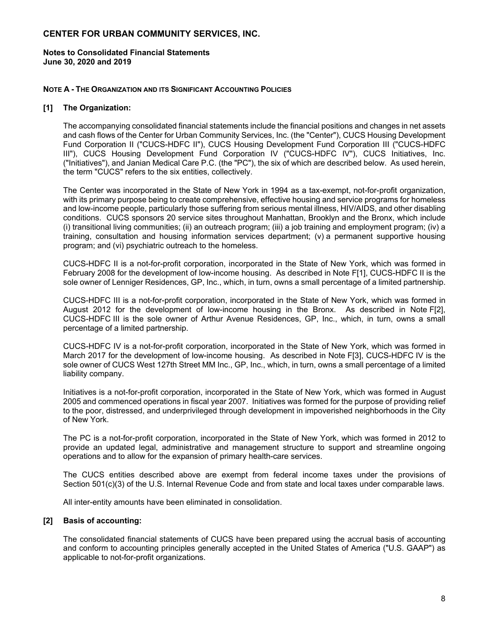#### **Notes to Consolidated Financial Statements June 30, 2020 and 2019**

## **NOTE A - THE ORGANIZATION AND ITS SIGNIFICANT ACCOUNTING POLICIES**

## **[1] The Organization:**

The accompanying consolidated financial statements include the financial positions and changes in net assets and cash flows of the Center for Urban Community Services, Inc. (the "Center"), CUCS Housing Development Fund Corporation II ("CUCS-HDFC II"), CUCS Housing Development Fund Corporation III ("CUCS-HDFC III"), CUCS Housing Development Fund Corporation IV ("CUCS-HDFC IV"), CUCS Initiatives, Inc. ("Initiatives"), and Janian Medical Care P.C. (the "PC"), the six of which are described below. As used herein, the term "CUCS" refers to the six entities, collectively.

The Center was incorporated in the State of New York in 1994 as a tax-exempt, not-for-profit organization, with its primary purpose being to create comprehensive, effective housing and service programs for homeless and low-income people, particularly those suffering from serious mental illness, HIV/AIDS, and other disabling conditions. CUCS sponsors 20 service sites throughout Manhattan, Brooklyn and the Bronx, which include (i) transitional living communities; (ii) an outreach program; (iii) a job training and employment program; (iv) a training, consultation and housing information services department; (v) a permanent supportive housing program; and (vi) psychiatric outreach to the homeless.

CUCS-HDFC II is a not-for-profit corporation, incorporated in the State of New York, which was formed in February 2008 for the development of low-income housing. As described in Note F[1], CUCS-HDFC II is the sole owner of Lenniger Residences, GP, Inc., which, in turn, owns a small percentage of a limited partnership.

CUCS-HDFC III is a not-for-profit corporation, incorporated in the State of New York, which was formed in August 2012 for the development of low-income housing in the Bronx. As described in Note F[2], CUCS-HDFC III is the sole owner of Arthur Avenue Residences, GP, Inc., which, in turn, owns a small percentage of a limited partnership.

CUCS-HDFC IV is a not-for-profit corporation, incorporated in the State of New York, which was formed in March 2017 for the development of low-income housing. As described in Note F[3], CUCS-HDFC IV is the sole owner of CUCS West 127th Street MM Inc., GP, Inc., which, in turn, owns a small percentage of a limited liability company.

Initiatives is a not-for-profit corporation, incorporated in the State of New York, which was formed in August 2005 and commenced operations in fiscal year 2007. Initiatives was formed for the purpose of providing relief to the poor, distressed, and underprivileged through development in impoverished neighborhoods in the City of New York.

The PC is a not-for-profit corporation, incorporated in the State of New York, which was formed in 2012 to provide an updated legal, administrative and management structure to support and streamline ongoing operations and to allow for the expansion of primary health-care services.

The CUCS entities described above are exempt from federal income taxes under the provisions of Section 501(c)(3) of the U.S. Internal Revenue Code and from state and local taxes under comparable laws.

All inter-entity amounts have been eliminated in consolidation.

## **[2] Basis of accounting:**

The consolidated financial statements of CUCS have been prepared using the accrual basis of accounting and conform to accounting principles generally accepted in the United States of America ("U.S. GAAP") as applicable to not-for-profit organizations.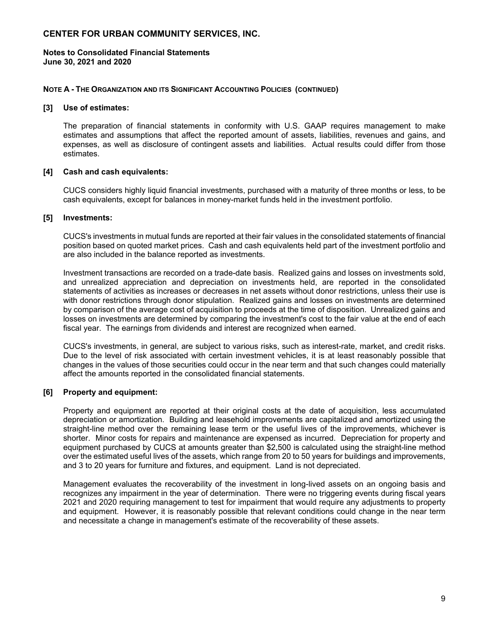#### **Notes to Consolidated Financial Statements June 30, 2021 and 2020**

## **NOTE A - THE ORGANIZATION AND ITS SIGNIFICANT ACCOUNTING POLICIES (CONTINUED)**

## **[3] Use of estimates:**

The preparation of financial statements in conformity with U.S. GAAP requires management to make estimates and assumptions that affect the reported amount of assets, liabilities, revenues and gains, and expenses, as well as disclosure of contingent assets and liabilities. Actual results could differ from those estimates.

## **[4] Cash and cash equivalents:**

CUCS considers highly liquid financial investments, purchased with a maturity of three months or less, to be cash equivalents, except for balances in money-market funds held in the investment portfolio.

## **[5] Investments:**

CUCS's investments in mutual funds are reported at their fair values in the consolidated statements of financial position based on quoted market prices. Cash and cash equivalents held part of the investment portfolio and are also included in the balance reported as investments.

Investment transactions are recorded on a trade-date basis. Realized gains and losses on investments sold, and unrealized appreciation and depreciation on investments held, are reported in the consolidated statements of activities as increases or decreases in net assets without donor restrictions, unless their use is with donor restrictions through donor stipulation. Realized gains and losses on investments are determined by comparison of the average cost of acquisition to proceeds at the time of disposition. Unrealized gains and losses on investments are determined by comparing the investment's cost to the fair value at the end of each fiscal year. The earnings from dividends and interest are recognized when earned.

CUCS's investments, in general, are subject to various risks, such as interest-rate, market, and credit risks. Due to the level of risk associated with certain investment vehicles, it is at least reasonably possible that changes in the values of those securities could occur in the near term and that such changes could materially affect the amounts reported in the consolidated financial statements.

## **[6] Property and equipment:**

Property and equipment are reported at their original costs at the date of acquisition, less accumulated depreciation or amortization. Building and leasehold improvements are capitalized and amortized using the straight-line method over the remaining lease term or the useful lives of the improvements, whichever is shorter. Minor costs for repairs and maintenance are expensed as incurred. Depreciation for property and equipment purchased by CUCS at amounts greater than \$2,500 is calculated using the straight-line method over the estimated useful lives of the assets, which range from 20 to 50 years for buildings and improvements, and 3 to 20 years for furniture and fixtures, and equipment. Land is not depreciated.

Management evaluates the recoverability of the investment in long-lived assets on an ongoing basis and recognizes any impairment in the year of determination. There were no triggering events during fiscal years 2021 and 2020 requiring management to test for impairment that would require any adjustments to property and equipment. However, it is reasonably possible that relevant conditions could change in the near term and necessitate a change in management's estimate of the recoverability of these assets.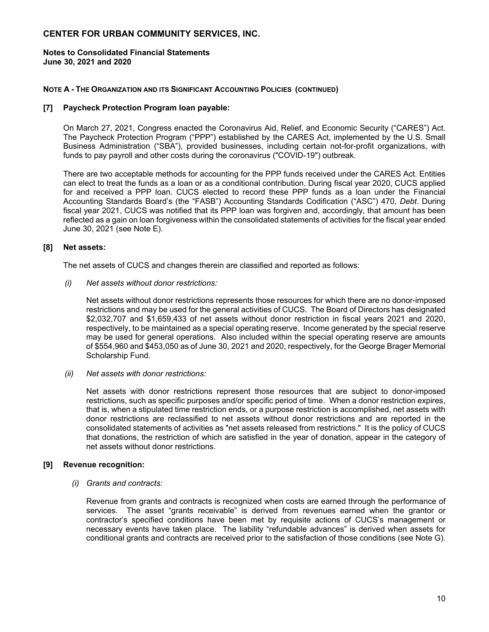#### **Notes to Consolidated Financial Statements June 30, 2021 and 2020**

## **NOTE A - THE ORGANIZATION AND ITS SIGNIFICANT ACCOUNTING POLICIES (CONTINUED)**

## **[7] Paycheck Protection Program loan payable:**

On March 27, 2021, Congress enacted the Coronavirus Aid, Relief, and Economic Security ("CARES") Act. The Paycheck Protection Program ("PPP") established by the CARES Act, implemented by the U.S. Small Business Administration ("SBA"), provided businesses, including certain not-for-profit organizations, with funds to pay payroll and other costs during the coronavirus ("COVID-19") outbreak.

There are two acceptable methods for accounting for the PPP funds received under the CARES Act. Entities can elect to treat the funds as a loan or as a conditional contribution. During fiscal year 2020, CUCS applied for and received a PPP loan. CUCS elected to record these PPP funds as a loan under the Financial Accounting Standards Board's (the "FASB") Accounting Standards Codification ("ASC") 470, *Debt*. During fiscal year 2021, CUCS was notified that its PPP loan was forgiven and, accordingly, that amount has been reflected as a gain on loan forgiveness within the consolidated statements of activities for the fiscal year ended June 30, 2021 (see Note E).

## **[8] Net assets:**

The net assets of CUCS and changes therein are classified and reported as follows:

*(i) Net assets without donor restrictions:*

Net assets without donor restrictions represents those resources for which there are no donor-imposed restrictions and may be used for the general activities of CUCS. The Board of Directors has designated \$2,032,707 and \$1,659,433 of net assets without donor restriction in fiscal years 2021 and 2020, respectively, to be maintained as a special operating reserve. Income generated by the special reserve may be used for general operations. Also included within the special operating reserve are amounts of \$554,960 and \$453,050 as of June 30, 2021 and 2020, respectively, for the George Brager Memorial Scholarship Fund.

*(ii) Net assets with donor restrictions:* 

Net assets with donor restrictions represent those resources that are subject to donor-imposed restrictions, such as specific purposes and/or specific period of time. When a donor restriction expires, that is, when a stipulated time restriction ends, or a purpose restriction is accomplished, net assets with donor restrictions are reclassified to net assets without donor restrictions and are reported in the consolidated statements of activities as "net assets released from restrictions." It is the policy of CUCS that donations, the restriction of which are satisfied in the year of donation, appear in the category of net assets without donor restrictions.

## **[9] Revenue recognition:**

*(i) Grants and contracts:* 

Revenue from grants and contracts is recognized when costs are earned through the performance of services. The asset "grants receivable" is derived from revenues earned when the grantor or contractor's specified conditions have been met by requisite actions of CUCS's management or necessary events have taken place. The liability "refundable advances" is derived when assets for conditional grants and contracts are received prior to the satisfaction of those conditions (see Note G).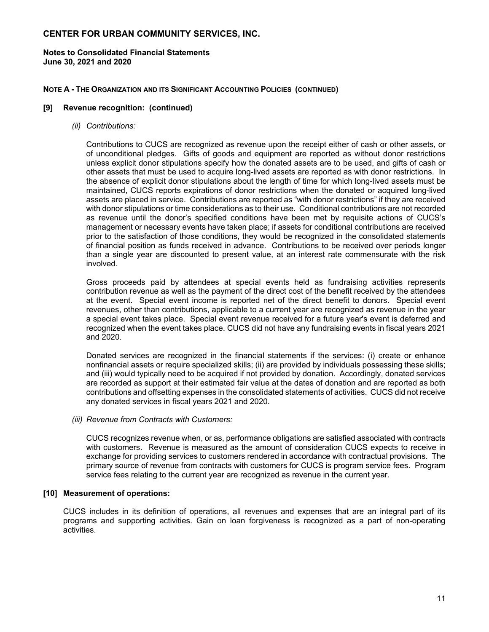#### **Notes to Consolidated Financial Statements June 30, 2021 and 2020**

## **NOTE A - THE ORGANIZATION AND ITS SIGNIFICANT ACCOUNTING POLICIES (CONTINUED)**

## **[9] Revenue recognition: (continued)**

*(ii) Contributions:* 

Contributions to CUCS are recognized as revenue upon the receipt either of cash or other assets, or of unconditional pledges. Gifts of goods and equipment are reported as without donor restrictions unless explicit donor stipulations specify how the donated assets are to be used, and gifts of cash or other assets that must be used to acquire long-lived assets are reported as with donor restrictions. In the absence of explicit donor stipulations about the length of time for which long-lived assets must be maintained, CUCS reports expirations of donor restrictions when the donated or acquired long-lived assets are placed in service. Contributions are reported as "with donor restrictions" if they are received with donor stipulations or time considerations as to their use. Conditional contributions are not recorded as revenue until the donor's specified conditions have been met by requisite actions of CUCS's management or necessary events have taken place; if assets for conditional contributions are received prior to the satisfaction of those conditions, they would be recognized in the consolidated statements of financial position as funds received in advance. Contributions to be received over periods longer than a single year are discounted to present value, at an interest rate commensurate with the risk involved.

Gross proceeds paid by attendees at special events held as fundraising activities represents contribution revenue as well as the payment of the direct cost of the benefit received by the attendees at the event. Special event income is reported net of the direct benefit to donors. Special event revenues, other than contributions, applicable to a current year are recognized as revenue in the year a special event takes place. Special event revenue received for a future year's event is deferred and recognized when the event takes place. CUCS did not have any fundraising events in fiscal years 2021 and 2020.

Donated services are recognized in the financial statements if the services: (i) create or enhance nonfinancial assets or require specialized skills; (ii) are provided by individuals possessing these skills; and (iii) would typically need to be acquired if not provided by donation. Accordingly, donated services are recorded as support at their estimated fair value at the dates of donation and are reported as both contributions and offsetting expenses in the consolidated statements of activities. CUCS did not receive any donated services in fiscal years 2021 and 2020.

*(iii) Revenue from Contracts with Customers:* 

CUCS recognizes revenue when, or as, performance obligations are satisfied associated with contracts with customers. Revenue is measured as the amount of consideration CUCS expects to receive in exchange for providing services to customers rendered in accordance with contractual provisions. The primary source of revenue from contracts with customers for CUCS is program service fees. Program service fees relating to the current year are recognized as revenue in the current year.

## **[10] Measurement of operations:**

CUCS includes in its definition of operations, all revenues and expenses that are an integral part of its programs and supporting activities. Gain on loan forgiveness is recognized as a part of non-operating activities.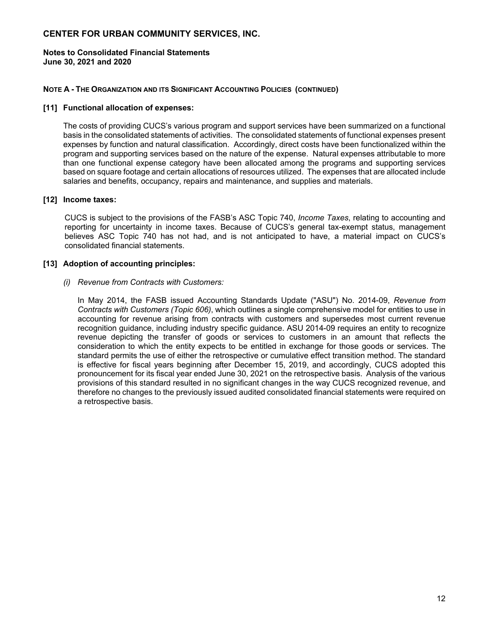#### **Notes to Consolidated Financial Statements June 30, 2021 and 2020**

## **NOTE A - THE ORGANIZATION AND ITS SIGNIFICANT ACCOUNTING POLICIES (CONTINUED)**

## **[11] Functional allocation of expenses:**

The costs of providing CUCS's various program and support services have been summarized on a functional basis in the consolidated statements of activities. The consolidated statements of functional expenses present expenses by function and natural classification. Accordingly, direct costs have been functionalized within the program and supporting services based on the nature of the expense. Natural expenses attributable to more than one functional expense category have been allocated among the programs and supporting services based on square footage and certain allocations of resources utilized. The expenses that are allocated include salaries and benefits, occupancy, repairs and maintenance, and supplies and materials.

## **[12] Income taxes:**

CUCS is subject to the provisions of the FASB's ASC Topic 740, *Income Taxes*, relating to accounting and reporting for uncertainty in income taxes. Because of CUCS's general tax-exempt status, management believes ASC Topic 740 has not had, and is not anticipated to have, a material impact on CUCS's consolidated financial statements.

## **[13] Adoption of accounting principles:**

## *(i) Revenue from Contracts with Customers:*

In May 2014, the FASB issued Accounting Standards Update ("ASU") No. 2014-09, *Revenue from Contracts with Customers (Topic 606)*, which outlines a single comprehensive model for entities to use in accounting for revenue arising from contracts with customers and supersedes most current revenue recognition guidance, including industry specific guidance. ASU 2014-09 requires an entity to recognize revenue depicting the transfer of goods or services to customers in an amount that reflects the consideration to which the entity expects to be entitled in exchange for those goods or services. The standard permits the use of either the retrospective or cumulative effect transition method. The standard is effective for fiscal years beginning after December 15, 2019, and accordingly, CUCS adopted this pronouncement for its fiscal year ended June 30, 2021 on the retrospective basis. Analysis of the various provisions of this standard resulted in no significant changes in the way CUCS recognized revenue, and therefore no changes to the previously issued audited consolidated financial statements were required on a retrospective basis.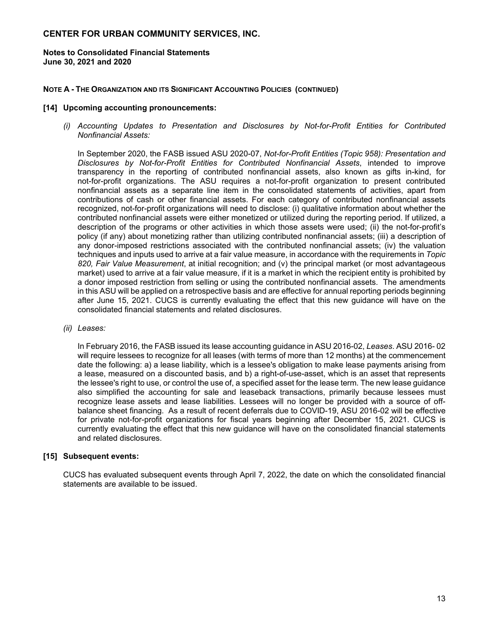#### **Notes to Consolidated Financial Statements June 30, 2021 and 2020**

## **NOTE A - THE ORGANIZATION AND ITS SIGNIFICANT ACCOUNTING POLICIES (CONTINUED)**

## **[14] Upcoming accounting pronouncements:**

*(i) Accounting Updates to Presentation and Disclosures by Not-for-Profit Entities for Contributed Nonfinancial Assets:* 

In September 2020, the FASB issued ASU 2020-07, *Not-for-Profit Entities (Topic 958): Presentation and Disclosures by Not-for-Profit Entities for Contributed Nonfinancial Assets*, intended to improve transparency in the reporting of contributed nonfinancial assets, also known as gifts in-kind, for not-for-profit organizations. The ASU requires a not-for-profit organization to present contributed nonfinancial assets as a separate line item in the consolidated statements of activities, apart from contributions of cash or other financial assets. For each category of contributed nonfinancial assets recognized, not-for-profit organizations will need to disclose: (i) qualitative information about whether the contributed nonfinancial assets were either monetized or utilized during the reporting period. If utilized, a description of the programs or other activities in which those assets were used; (ii) the not-for-profit's policy (if any) about monetizing rather than utilizing contributed nonfinancial assets; (iii) a description of any donor-imposed restrictions associated with the contributed nonfinancial assets; (iv) the valuation techniques and inputs used to arrive at a fair value measure, in accordance with the requirements in *Topic 820, Fair Value Measurement*, at initial recognition; and (v) the principal market (or most advantageous market) used to arrive at a fair value measure, if it is a market in which the recipient entity is prohibited by a donor imposed restriction from selling or using the contributed nonfinancial assets. The amendments in this ASU will be applied on a retrospective basis and are effective for annual reporting periods beginning after June 15, 2021. CUCS is currently evaluating the effect that this new guidance will have on the consolidated financial statements and related disclosures.

*(ii) Leases:* 

In February 2016, the FASB issued its lease accounting guidance in ASU 2016-02, *Leases*. ASU 2016- 02 will require lessees to recognize for all leases (with terms of more than 12 months) at the commencement date the following: a) a lease liability, which is a lessee's obligation to make lease payments arising from a lease, measured on a discounted basis, and b) a right-of-use-asset, which is an asset that represents the lessee's right to use, or control the use of, a specified asset for the lease term. The new lease guidance also simplified the accounting for sale and leaseback transactions, primarily because lessees must recognize lease assets and lease liabilities. Lessees will no longer be provided with a source of offbalance sheet financing. As a result of recent deferrals due to COVID-19, ASU 2016-02 will be effective for private not-for-profit organizations for fiscal years beginning after December 15, 2021. CUCS is currently evaluating the effect that this new guidance will have on the consolidated financial statements and related disclosures.

## **[15] Subsequent events:**

CUCS has evaluated subsequent events through April 7, 2022, the date on which the consolidated financial statements are available to be issued.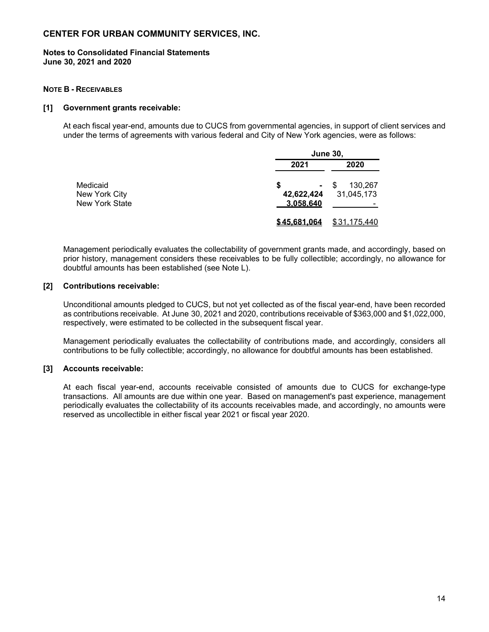## **Notes to Consolidated Financial Statements June 30, 2021 and 2020**

## **NOTE B - RECEIVABLES**

## **[1] Government grants receivable:**

At each fiscal year-end, amounts due to CUCS from governmental agencies, in support of client services and under the terms of agreements with various federal and City of New York agencies, were as follows:

|                                        | <b>June 30,</b>         |                 |  |  |
|----------------------------------------|-------------------------|-----------------|--|--|
|                                        | 2021                    | 2020            |  |  |
| Medicaid                               |                         | 130,267<br>- \$ |  |  |
| New York City<br><b>New York State</b> | 42,622,424<br>3.058.640 | 31,045,173      |  |  |
|                                        | \$45.681.064            | \$31,175,440    |  |  |

Management periodically evaluates the collectability of government grants made, and accordingly, based on prior history, management considers these receivables to be fully collectible; accordingly, no allowance for doubtful amounts has been established (see Note L).

#### **[2] Contributions receivable:**

Unconditional amounts pledged to CUCS, but not yet collected as of the fiscal year-end, have been recorded as contributions receivable. At June 30, 2021 and 2020, contributions receivable of \$363,000 and \$1,022,000, respectively, were estimated to be collected in the subsequent fiscal year.

Management periodically evaluates the collectability of contributions made, and accordingly, considers all contributions to be fully collectible; accordingly, no allowance for doubtful amounts has been established.

## **[3] Accounts receivable:**

At each fiscal year-end, accounts receivable consisted of amounts due to CUCS for exchange-type transactions. All amounts are due within one year. Based on management's past experience, management periodically evaluates the collectability of its accounts receivables made, and accordingly, no amounts were reserved as uncollectible in either fiscal year 2021 or fiscal year 2020.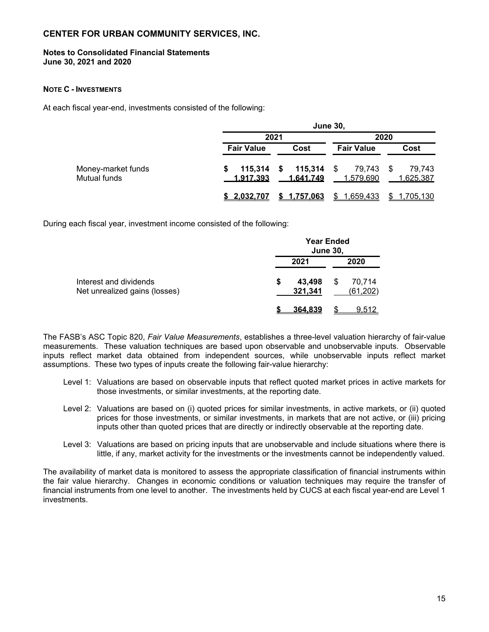#### **Notes to Consolidated Financial Statements June 30, 2021 and 2020**

## **NOTE C - INVESTMENTS**

At each fiscal year-end, investments consisted of the following:

|                                    | <b>June 30,</b>       |                                        |                            |                                  |  |  |
|------------------------------------|-----------------------|----------------------------------------|----------------------------|----------------------------------|--|--|
|                                    |                       | 2021                                   |                            | 2020                             |  |  |
|                                    | <b>Fair Value</b>     | Cost                                   | <b>Fair Value</b>          | Cost                             |  |  |
| Money-market funds<br>Mutual funds | S<br><u>1.917.393</u> | $115,314$ \$ $115,314$ \$<br>1.641.749 | 79,743<br><u>1,579,690</u> | 79.743<br>S.<br><u>1,625,387</u> |  |  |
|                                    | \$2,032,707           | \$1,757,063                            | 1,659,433<br>\$            | \$ 1,705,130                     |  |  |

During each fiscal year, investment income consisted of the following:

|                                                         |                         | <b>Year Ended</b><br><b>June 30,</b> |
|---------------------------------------------------------|-------------------------|--------------------------------------|
|                                                         | 2021                    | 2020                                 |
| Interest and dividends<br>Net unrealized gains (losses) | 43,498<br>\$<br>321,341 | 70,714<br>\$<br>(61, 202)            |
|                                                         | 364.839                 | 9.512                                |

The FASB's ASC Topic 820, *Fair Value Measurements*, establishes a three-level valuation hierarchy of fair-value measurements. These valuation techniques are based upon observable and unobservable inputs. Observable inputs reflect market data obtained from independent sources, while unobservable inputs reflect market assumptions. These two types of inputs create the following fair-value hierarchy:

- Level 1: Valuations are based on observable inputs that reflect quoted market prices in active markets for those investments, or similar investments, at the reporting date.
- Level 2: Valuations are based on (i) quoted prices for similar investments, in active markets, or (ii) quoted prices for those investments, or similar investments, in markets that are not active, or (iii) pricing inputs other than quoted prices that are directly or indirectly observable at the reporting date.
- Level 3: Valuations are based on pricing inputs that are unobservable and include situations where there is little, if any, market activity for the investments or the investments cannot be independently valued.

The availability of market data is monitored to assess the appropriate classification of financial instruments within the fair value hierarchy. Changes in economic conditions or valuation techniques may require the transfer of financial instruments from one level to another. The investments held by CUCS at each fiscal year-end are Level 1 investments.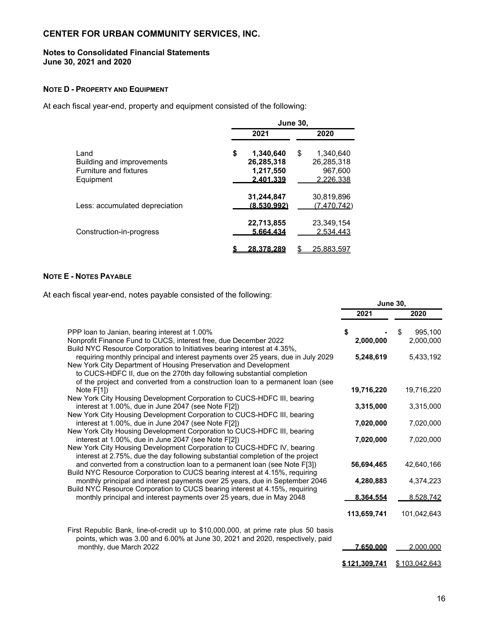## **Notes to Consolidated Financial Statements June 30, 2021 and 2020**

## **NOTE D - PROPERTY AND EQUIPMENT**

At each fiscal year-end, property and equipment consisted of the following:

|                                                                          | <b>June 30.</b>                                         |    |                                                 |  |
|--------------------------------------------------------------------------|---------------------------------------------------------|----|-------------------------------------------------|--|
|                                                                          | 2021                                                    |    | 2020                                            |  |
| Land<br>Building and improvements<br>Furniture and fixtures<br>Equipment | \$<br>1,340,640<br>26,285,318<br>1,217,550<br>2.401.339 | \$ | 1.340.640<br>26,285,318<br>967,600<br>2.226.338 |  |
| Less: accumulated depreciation                                           | 31,244,847<br>(8.530.992)                               |    | 30,819,896<br>(7.470.742)                       |  |
| Construction-in-progress                                                 | 22,713,855<br>5.664.434                                 |    | 23,349,154<br>2.534.443                         |  |
|                                                                          | <u>28.378.289</u>                                       |    | 25,883,597                                      |  |

## **NOTE E - NOTES PAYABLE**

At each fiscal year-end, notes payable consisted of the following:

| $1000$ $\mu$ $1000$ $\mu$ $1000$ $\mu$ $1000$ $\mu$ $1000$ $\mu$ $1000$ $\mu$ $1000$                                                                                                                                                                                                                                                                                                          |                 | <b>June 30,</b>            |
|-----------------------------------------------------------------------------------------------------------------------------------------------------------------------------------------------------------------------------------------------------------------------------------------------------------------------------------------------------------------------------------------------|-----------------|----------------------------|
|                                                                                                                                                                                                                                                                                                                                                                                               | 2021            | 2020                       |
| PPP loan to Janian, bearing interest at 1.00%<br>Nonprofit Finance Fund to CUCS, interest free, due December 2022                                                                                                                                                                                                                                                                             | \$<br>2,000,000 | 995,100<br>\$<br>2,000,000 |
| Build NYC Resource Corporation to Initiatives bearing interest at 4.35%,<br>requiring monthly principal and interest payments over 25 years, due in July 2029<br>New York City Department of Housing Preservation and Development<br>to CUCS-HDFC II, due on the 270th day following substantial completion<br>of the project and converted from a construction loan to a permanent loan (see | 5,248,619       | 5,433,192                  |
| Note $F[1]$                                                                                                                                                                                                                                                                                                                                                                                   | 19,716,220      | 19,716,220                 |
| New York City Housing Development Corporation to CUCS-HDFC III, bearing<br>interest at 1.00%, due in June 2047 (see Note F[2])<br>New York City Housing Development Corporation to CUCS-HDFC III, bearing                                                                                                                                                                                     | 3,315,000       | 3,315,000                  |
| interest at 1.00%, due in June 2047 (see Note F[2])                                                                                                                                                                                                                                                                                                                                           | 7,020,000       | 7,020,000                  |
| New York City Housing Development Corporation to CUCS-HDFC III, bearing<br>interest at 1.00%, due in June 2047 (see Note F[2])<br>New York City Housing Development Corporation to CUCS-HDFC IV, bearing                                                                                                                                                                                      | 7,020,000       | 7,020,000                  |
| interest at 2.75%, due the day following substantial completion of the project<br>and converted from a construction loan to a permanent loan (see Note F[3])<br>Build NYC Resource Corporation to CUCS bearing interest at 4.15%, requiring                                                                                                                                                   | 56,694,465      | 42,640,166                 |
| monthly principal and interest payments over 25 years, due in September 2046                                                                                                                                                                                                                                                                                                                  | 4,280,883       | 4,374,223                  |
| Build NYC Resource Corporation to CUCS bearing interest at 4.15%, requiring<br>monthly principal and interest payments over 25 years, due in May 2048                                                                                                                                                                                                                                         | 8.364.554       | 8.528.742                  |
|                                                                                                                                                                                                                                                                                                                                                                                               | 113,659,741     | 101,042,643                |
| First Republic Bank, line-of-credit up to \$10,000,000, at prime rate plus 50 basis<br>points, which was 3.00 and 6.00% at June 30, 2021 and 2020, respectively, paid                                                                                                                                                                                                                         |                 |                            |
| monthly, due March 2022                                                                                                                                                                                                                                                                                                                                                                       | 7.650.000       | 2,000,000                  |
|                                                                                                                                                                                                                                                                                                                                                                                               | \$121,309,741   | \$103,042,643              |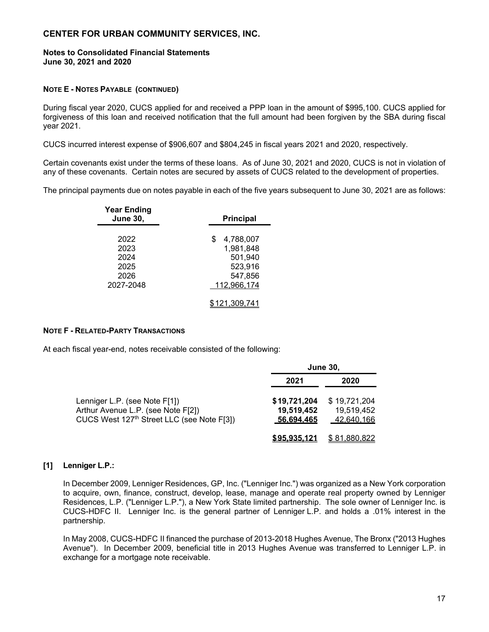## **Notes to Consolidated Financial Statements June 30, 2021 and 2020**

## **NOTE E - NOTES PAYABLE (CONTINUED)**

During fiscal year 2020, CUCS applied for and received a PPP loan in the amount of \$995,100. CUCS applied for forgiveness of this loan and received notification that the full amount had been forgiven by the SBA during fiscal year 2021.

CUCS incurred interest expense of \$906,607 and \$804,245 in fiscal years 2021 and 2020, respectively.

Certain covenants exist under the terms of these loans. As of June 30, 2021 and 2020, CUCS is not in violation of any of these covenants. Certain notes are secured by assets of CUCS related to the development of properties.

The principal payments due on notes payable in each of the five years subsequent to June 30, 2021 are as follows:

| <b>Year Ending</b><br><b>June 30,</b>             | <b>Principal</b>                                                             |
|---------------------------------------------------|------------------------------------------------------------------------------|
| 2022<br>2023<br>2024<br>2025<br>2026<br>2027-2048 | 4,788,007<br>\$<br>1,981,848<br>501,940<br>523,916<br>547,856<br>112,966,174 |
|                                                   | 121.309.741                                                                  |

## **NOTE F - RELATED-PARTY TRANSACTIONS**

At each fiscal year-end, notes receivable consisted of the following:

|                                                                                                                               | <b>June 30,</b>                          |                                                 |  |
|-------------------------------------------------------------------------------------------------------------------------------|------------------------------------------|-------------------------------------------------|--|
|                                                                                                                               | 2021                                     | 2020                                            |  |
| Lenniger L.P. (see Note F[1])<br>Arthur Avenue L.P. (see Note F[2])<br>CUCS West 127 <sup>th</sup> Street LLC (see Note F[3]) | \$19,721,204<br>19,519,452<br>56.694.465 | \$19,721,204<br>19,519,452<br><u>42,640,166</u> |  |
|                                                                                                                               | \$95,935,121                             | \$81,880,822                                    |  |

## **[1] Lenniger L.P.:**

In December 2009, Lenniger Residences, GP, Inc. ("Lenniger Inc.") was organized as a New York corporation to acquire, own, finance, construct, develop, lease, manage and operate real property owned by Lenniger Residences, L.P. ("Lenniger L.P."), a New York State limited partnership. The sole owner of Lenniger Inc. is CUCS-HDFC II. Lenniger Inc. is the general partner of Lenniger L.P. and holds a .01% interest in the partnership.

In May 2008, CUCS-HDFC II financed the purchase of 2013-2018 Hughes Avenue, The Bronx ("2013 Hughes Avenue"). In December 2009, beneficial title in 2013 Hughes Avenue was transferred to Lenniger L.P. in exchange for a mortgage note receivable.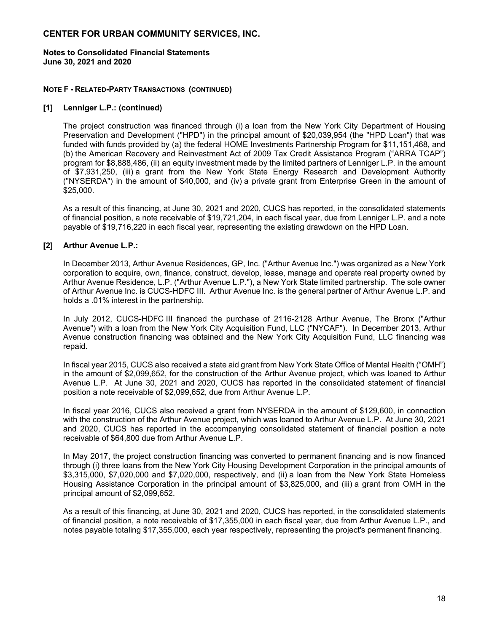#### **Notes to Consolidated Financial Statements June 30, 2021 and 2020**

## **NOTE F - RELATED-PARTY TRANSACTIONS (CONTINUED)**

## **[1] Lenniger L.P.: (continued)**

The project construction was financed through (i) a loan from the New York City Department of Housing Preservation and Development ("HPD") in the principal amount of \$20,039,954 (the "HPD Loan") that was funded with funds provided by (a) the federal HOME Investments Partnership Program for \$11,151,468, and (b) the American Recovery and Reinvestment Act of 2009 Tax Credit Assistance Program ("ARRA TCAP") program for \$8,888,486, (ii) an equity investment made by the limited partners of Lenniger L.P. in the amount of \$7,931,250, (iii) a grant from the New York State Energy Research and Development Authority ("NYSERDA") in the amount of \$40,000, and (iv) a private grant from Enterprise Green in the amount of \$25,000.

As a result of this financing, at June 30, 2021 and 2020, CUCS has reported, in the consolidated statements of financial position, a note receivable of \$19,721,204, in each fiscal year, due from Lenniger L.P. and a note payable of \$19,716,220 in each fiscal year, representing the existing drawdown on the HPD Loan.

## **[2] Arthur Avenue L.P.:**

In December 2013, Arthur Avenue Residences, GP, Inc. ("Arthur Avenue Inc.") was organized as a New York corporation to acquire, own, finance, construct, develop, lease, manage and operate real property owned by Arthur Avenue Residence, L.P. ("Arthur Avenue L.P."), a New York State limited partnership. The sole owner of Arthur Avenue Inc. is CUCS-HDFC III. Arthur Avenue Inc. is the general partner of Arthur Avenue L.P. and holds a .01% interest in the partnership.

In July 2012, CUCS-HDFC III financed the purchase of 2116-2128 Arthur Avenue, The Bronx ("Arthur Avenue") with a loan from the New York City Acquisition Fund, LLC ("NYCAF"). In December 2013, Arthur Avenue construction financing was obtained and the New York City Acquisition Fund, LLC financing was repaid.

In fiscal year 2015, CUCS also received a state aid grant from New York State Office of Mental Health ("OMH") in the amount of \$2,099,652, for the construction of the Arthur Avenue project, which was loaned to Arthur Avenue L.P. At June 30, 2021 and 2020, CUCS has reported in the consolidated statement of financial position a note receivable of \$2,099,652, due from Arthur Avenue L.P.

In fiscal year 2016, CUCS also received a grant from NYSERDA in the amount of \$129,600, in connection with the construction of the Arthur Avenue project, which was loaned to Arthur Avenue L.P. At June 30, 2021 and 2020, CUCS has reported in the accompanying consolidated statement of financial position a note receivable of \$64,800 due from Arthur Avenue L.P.

In May 2017, the project construction financing was converted to permanent financing and is now financed through (i) three loans from the New York City Housing Development Corporation in the principal amounts of \$3,315,000, \$7,020,000 and \$7,020,000, respectively, and (ii) a loan from the New York State Homeless Housing Assistance Corporation in the principal amount of \$3,825,000, and (iii) a grant from OMH in the principal amount of \$2,099,652.

As a result of this financing, at June 30, 2021 and 2020, CUCS has reported, in the consolidated statements of financial position, a note receivable of \$17,355,000 in each fiscal year, due from Arthur Avenue L.P., and notes payable totaling \$17,355,000, each year respectively, representing the project's permanent financing.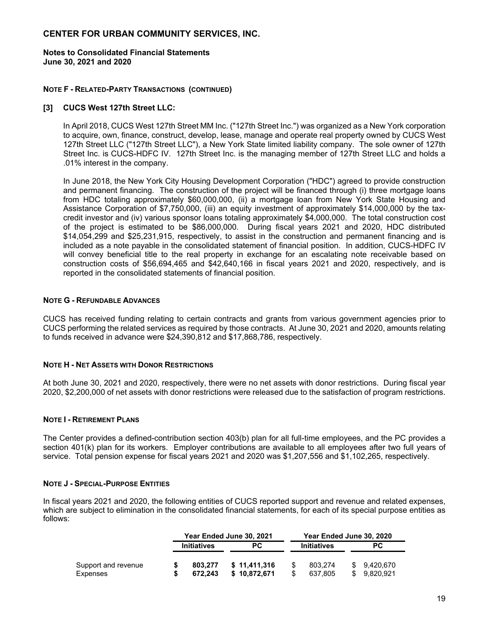#### **Notes to Consolidated Financial Statements June 30, 2021 and 2020**

## **NOTE F - RELATED-PARTY TRANSACTIONS (CONTINUED)**

## **[3] CUCS West 127th Street LLC:**

In April 2018, CUCS West 127th Street MM Inc. ("127th Street Inc.") was organized as a New York corporation to acquire, own, finance, construct, develop, lease, manage and operate real property owned by CUCS West 127th Street LLC ("127th Street LLC"), a New York State limited liability company. The sole owner of 127th Street Inc. is CUCS-HDFC IV. 127th Street Inc. is the managing member of 127th Street LLC and holds a .01% interest in the company.

In June 2018, the New York City Housing Development Corporation ("HDC") agreed to provide construction and permanent financing. The construction of the project will be financed through (i) three mortgage loans from HDC totaling approximately \$60,000,000, (ii) a mortgage loan from New York State Housing and Assistance Corporation of \$7,750,000, (iii) an equity investment of approximately \$14,000,000 by the taxcredit investor and (iv) various sponsor loans totaling approximately \$4,000,000. The total construction cost of the project is estimated to be \$86,000,000.During fiscal years 2021 and 2020, HDC distributed \$14,054,299 and \$25,231,915, respectively, to assist in the construction and permanent financing and is included as a note payable in the consolidated statement of financial position. In addition, CUCS-HDFC IV will convey beneficial title to the real property in exchange for an escalating note receivable based on construction costs of \$56,694,465 and \$42,640,166 in fiscal years 2021 and 2020, respectively, and is reported in the consolidated statements of financial position.

#### **NOTE G - REFUNDABLE ADVANCES**

CUCS has received funding relating to certain contracts and grants from various government agencies prior to CUCS performing the related services as required by those contracts. At June 30, 2021 and 2020, amounts relating to funds received in advance were \$24,390,812 and \$17,868,786, respectively.

## **NOTE H - NET ASSETS WITH DONOR RESTRICTIONS**

At both June 30, 2021 and 2020, respectively, there were no net assets with donor restrictions. During fiscal year 2020, \$2,200,000 of net assets with donor restrictions were released due to the satisfaction of program restrictions.

## **NOTE I - RETIREMENT PLANS**

The Center provides a defined-contribution section 403(b) plan for all full-time employees, and the PC provides a section 401(k) plan for its workers. Employer contributions are available to all employees after two full years of service. Total pension expense for fiscal years 2021 and 2020 was \$1,207,556 and \$1,102,265, respectively.

#### **NOTE J - SPECIAL-PURPOSE ENTITIES**

In fiscal years 2021 and 2020, the following entities of CUCS reported support and revenue and related expenses, which are subject to elimination in the consolidated financial statements, for each of its special purpose entities as follows:

|                                 | Year Ended June 30, 2021 |                              |                    | Year Ended June 30, 2020 |     |                          |
|---------------------------------|--------------------------|------------------------------|--------------------|--------------------------|-----|--------------------------|
|                                 | <b>Initiatives</b>       | PC.                          | <b>Initiatives</b> |                          | PC. |                          |
| Support and revenue<br>Expenses | 803.277<br>672.243       | \$11,411,316<br>\$10.872.671 |                    | 803.274<br>637.805       | \$. | \$9,420,670<br>9.820.921 |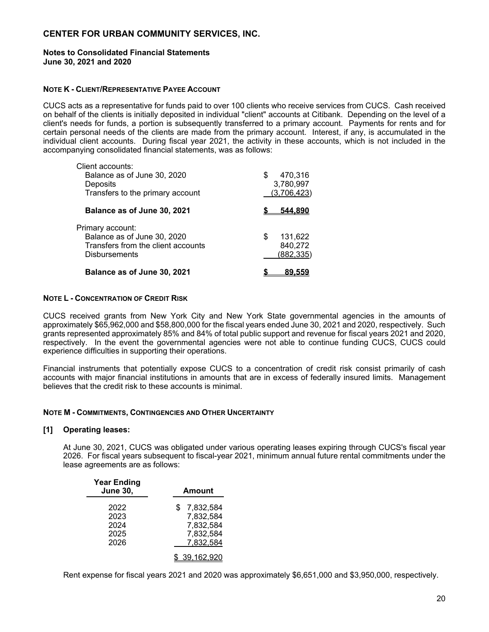#### **Notes to Consolidated Financial Statements June 30, 2021 and 2020**

## **NOTE K - CLIENT/REPRESENTATIVE PAYEE ACCOUNT**

CUCS acts as a representative for funds paid to over 100 clients who receive services from CUCS. Cash received on behalf of the clients is initially deposited in individual "client" accounts at Citibank. Depending on the level of a client's needs for funds, a portion is subsequently transferred to a primary account. Payments for rents and for certain personal needs of the clients are made from the primary account. Interest, if any, is accumulated in the individual client accounts. During fiscal year 2021, the activity in these accounts, which is not included in the accompanying consolidated financial statements, was as follows:

| Client accounts:                   | 470,316     |
|------------------------------------|-------------|
| Balance as of June 30, 2020        | S           |
| Deposits                           | 3,780,997   |
| Transfers to the primary account   | (3,706,423) |
| Balance as of June 30, 2021        | 544.89      |
| Primary account:                   | 131,622     |
| Balance as of June 30, 2020        | \$          |
| Transfers from the client accounts | 840,272     |
| <b>Disbursements</b>               | (882, 335)  |
| Balance as of June 30, 2021        |             |

## **NOTE L - CONCENTRATION OF CREDIT RISK**

CUCS received grants from New York City and New York State governmental agencies in the amounts of approximately \$65,962,000 and \$58,800,000 for the fiscal years ended June 30, 2021 and 2020, respectively. Such grants represented approximately 85% and 84% of total public support and revenue for fiscal years 2021 and 2020, respectively. In the event the governmental agencies were not able to continue funding CUCS, CUCS could experience difficulties in supporting their operations.

Financial instruments that potentially expose CUCS to a concentration of credit risk consist primarily of cash accounts with major financial institutions in amounts that are in excess of federally insured limits. Management believes that the credit risk to these accounts is minimal.

## **NOTE M - COMMITMENTS, CONTINGENCIES AND OTHER UNCERTAINTY**

## **[1] Operating leases:**

At June 30, 2021, CUCS was obligated under various operating leases expiring through CUCS's fiscal year 2026. For fiscal years subsequent to fiscal-year 2021, minimum annual future rental commitments under the lease agreements are as follows:

| <b>Year Ending</b><br><b>June 30,</b> | Amount                                                              |
|---------------------------------------|---------------------------------------------------------------------|
| 2022<br>2023<br>2024<br>2025<br>2026  | 7,832,584<br>\$<br>7,832,584<br>7,832,584<br>7,832,584<br>7,832,584 |
|                                       | 39,162,920                                                          |

Rent expense for fiscal years 2021 and 2020 was approximately \$6,651,000 and \$3,950,000, respectively.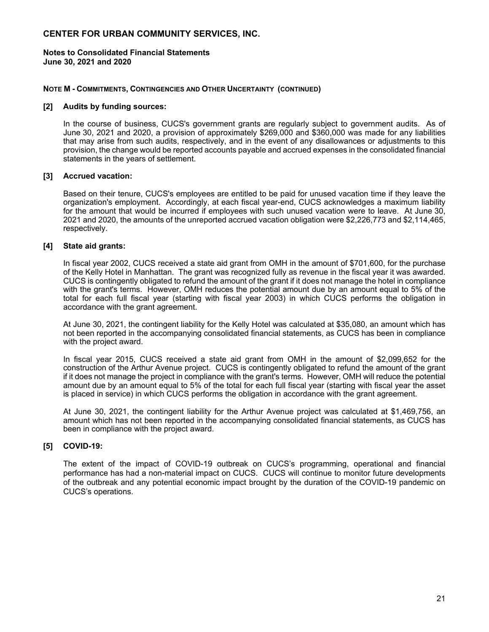#### **Notes to Consolidated Financial Statements June 30, 2021 and 2020**

## **NOTE M - COMMITMENTS, CONTINGENCIES AND OTHER UNCERTAINTY (CONTINUED)**

#### **[2] Audits by funding sources:**

In the course of business, CUCS's government grants are regularly subject to government audits. As of June 30, 2021 and 2020, a provision of approximately \$269,000 and \$360,000 was made for any liabilities that may arise from such audits, respectively, and in the event of any disallowances or adjustments to this provision, the change would be reported accounts payable and accrued expenses in the consolidated financial statements in the years of settlement.

## **[3] Accrued vacation:**

Based on their tenure, CUCS's employees are entitled to be paid for unused vacation time if they leave the organization's employment. Accordingly, at each fiscal year-end, CUCS acknowledges a maximum liability for the amount that would be incurred if employees with such unused vacation were to leave. At June 30, 2021 and 2020, the amounts of the unreported accrued vacation obligation were \$2,226,773 and \$2,114,465, respectively.

#### **[4] State aid grants:**

In fiscal year 2002, CUCS received a state aid grant from OMH in the amount of \$701,600, for the purchase of the Kelly Hotel in Manhattan. The grant was recognized fully as revenue in the fiscal year it was awarded. CUCS is contingently obligated to refund the amount of the grant if it does not manage the hotel in compliance with the grant's terms. However, OMH reduces the potential amount due by an amount equal to 5% of the total for each full fiscal year (starting with fiscal year 2003) in which CUCS performs the obligation in accordance with the grant agreement.

At June 30, 2021, the contingent liability for the Kelly Hotel was calculated at \$35,080, an amount which has not been reported in the accompanying consolidated financial statements, as CUCS has been in compliance with the project award.

In fiscal year 2015, CUCS received a state aid grant from OMH in the amount of \$2,099,652 for the construction of the Arthur Avenue project. CUCS is contingently obligated to refund the amount of the grant if it does not manage the project in compliance with the grant's terms. However, OMH will reduce the potential amount due by an amount equal to 5% of the total for each full fiscal year (starting with fiscal year the asset is placed in service) in which CUCS performs the obligation in accordance with the grant agreement.

At June 30, 2021, the contingent liability for the Arthur Avenue project was calculated at \$1,469,756, an amount which has not been reported in the accompanying consolidated financial statements, as CUCS has been in compliance with the project award.

## **[5] COVID-19:**

The extent of the impact of COVID-19 outbreak on CUCS's programming, operational and financial performance has had a non-material impact on CUCS. CUCS will continue to monitor future developments of the outbreak and any potential economic impact brought by the duration of the COVID-19 pandemic on CUCS's operations.